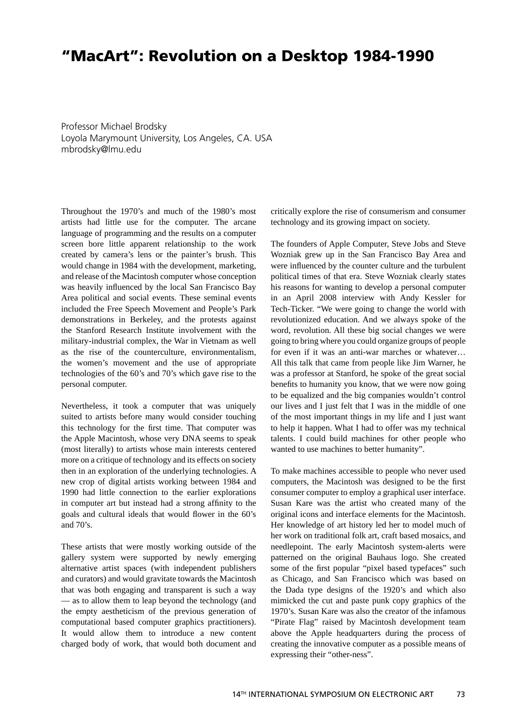## **"MacArt": Revolution on a Desktop 1984-1990**

Professor Michael Brodsky Loyola Marymount University, Los Angeles, CA. USA mbrodsky@lmu.edu

Throughout the 1970's and much of the 1980's most artists had little use for the computer. The arcane language of programming and the results on a computer screen bore little apparent relationship to the work created by camera's lens or the painter's brush. This would change in 1984 with the development, marketing, and release of the Macintosh computer whose conception was heavily influenced by the local San Francisco Bay Area political and social events. These seminal events included the Free Speech Movement and People's Park demonstrations in Berkeley, and the protests against the Stanford Research Institute involvement with the military-industrial complex, the War in Vietnam as well as the rise of the counterculture, environmentalism, the women's movement and the use of appropriate technologies of the 60's and 70's which gave rise to the personal computer.

Nevertheless, it took a computer that was uniquely suited to artists before many would consider touching this technology for the first time. That computer was the Apple Macintosh, whose very DNA seems to speak (most literally) to artists whose main interests centered more on a critique of technology and its effects on society then in an exploration of the underlying technologies. A new crop of digital artists working between 1984 and 1990 had little connection to the earlier explorations in computer art but instead had a strong affinity to the goals and cultural ideals that would flower in the 60's and 70's.

These artists that were mostly working outside of the gallery system were supported by newly emerging alternative artist spaces (with independent publishers and curators) and would gravitate towards the Macintosh that was both engaging and transparent is such a way — as to allow them to leap beyond the technology (and the empty aestheticism of the previous generation of computational based computer graphics practitioners). It would allow them to introduce a new content charged body of work, that would both document and critically explore the rise of consumerism and consumer technology and its growing impact on society.

The founders of Apple Computer, Steve Jobs and Steve Wozniak grew up in the San Francisco Bay Area and were influenced by the counter culture and the turbulent political times of that era. Steve Wozniak clearly states his reasons for wanting to develop a personal computer in an April 2008 interview with Andy Kessler for Tech-Ticker. "We were going to change the world with revolutionized education. And we always spoke of the word, revolution. All these big social changes we were going to bring where you could organize groups of people for even if it was an anti-war marches or whatever… All this talk that came from people like Jim Warner, he was a professor at Stanford, he spoke of the great social benefits to humanity you know, that we were now going to be equalized and the big companies wouldn't control our lives and I just felt that I was in the middle of one of the most important things in my life and I just want to help it happen. What I had to offer was my technical talents. I could build machines for other people who wanted to use machines to better humanity".

To make machines accessible to people who never used computers, the Macintosh was designed to be the first consumer computer to employ a graphical user interface. Susan Kare was the artist who created many of the original icons and interface elements for the Macintosh. Her knowledge of art history led her to model much of her work on traditional folk art, craft based mosaics, and needlepoint. The early Macintosh system-alerts were patterned on the original Bauhaus logo. She created some of the first popular "pixel based typefaces" such as Chicago, and San Francisco which was based on the Dada type designs of the 1920's and which also mimicked the cut and paste punk copy graphics of the 1970's. Susan Kare was also the creator of the infamous "Pirate Flag" raised by Macintosh development team above the Apple headquarters during the process of creating the innovative computer as a possible means of expressing their "other-ness".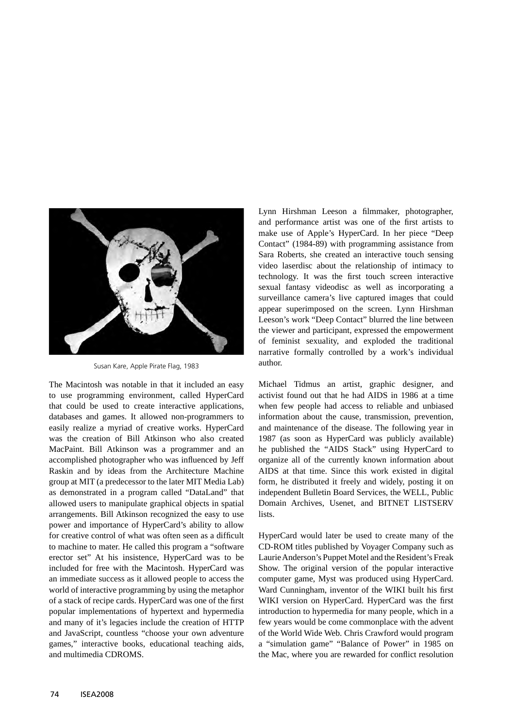

Susan Kare, Apple Pirate Flag, 1983

The Macintosh was notable in that it included an easy to use programming environment, called HyperCard that could be used to create interactive applications, databases and games. It allowed non-programmers to easily realize a myriad of creative works. HyperCard was the creation of Bill Atkinson who also created MacPaint. Bill Atkinson was a programmer and an accomplished photographer who was influenced by Jeff Raskin and by ideas from the Architecture Machine group at MIT (a predecessor to the later MIT Media Lab) as demonstrated in a program called "DataLand" that allowed users to manipulate graphical objects in spatial arrangements. Bill Atkinson recognized the easy to use power and importance of HyperCard's ability to allow for creative control of what was often seen as a difficult to machine to mater. He called this program a "software erector set" At his insistence, HyperCard was to be included for free with the Macintosh. HyperCard was an immediate success as it allowed people to access the world of interactive programming by using the metaphor of a stack of recipe cards. HyperCard was one of the first popular implementations of hypertext and hypermedia and many of it's legacies include the creation of HTTP and JavaScript, countless "choose your own adventure games," interactive books, educational teaching aids, and multimedia CDROMS.

Lynn Hirshman Leeson a filmmaker, photographer, and performance artist was one of the first artists to make use of Apple's HyperCard. In her piece "Deep Contact" (1984-89) with programming assistance from Sara Roberts, she created an interactive touch sensing video laserdisc about the relationship of intimacy to technology. It was the first touch screen interactive sexual fantasy videodisc as well as incorporating a surveillance camera's live captured images that could appear superimposed on the screen. Lynn Hirshman Leeson's work "Deep Contact" blurred the line between the viewer and participant, expressed the empowerment of feminist sexuality, and exploded the traditional narrative formally controlled by a work's individual author.

Michael Tidmus an artist, graphic designer, and activist found out that he had AIDS in 1986 at a time when few people had access to reliable and unbiased information about the cause, transmission, prevention, and maintenance of the disease. The following year in 1987 (as soon as HyperCard was publicly available) he published the "AIDS Stack" using HyperCard to organize all of the currently known information about AIDS at that time. Since this work existed in digital form, he distributed it freely and widely, posting it on independent Bulletin Board Services, the WELL, Public Domain Archives, Usenet, and BITNET LISTSERV lists.

HyperCard would later be used to create many of the CD-ROM titles published by Voyager Company such as Laurie Anderson's Puppet Motel and the Resident's Freak Show. The original version of the popular interactive computer game, Myst was produced using HyperCard. Ward Cunningham, inventor of the WIKI built his first WIKI version on HyperCard. HyperCard was the first introduction to hypermedia for many people, which in a few years would be come commonplace with the advent of the World Wide Web. Chris Crawford would program a "simulation game" "Balance of Power" in 1985 on the Mac, where you are rewarded for conflict resolution